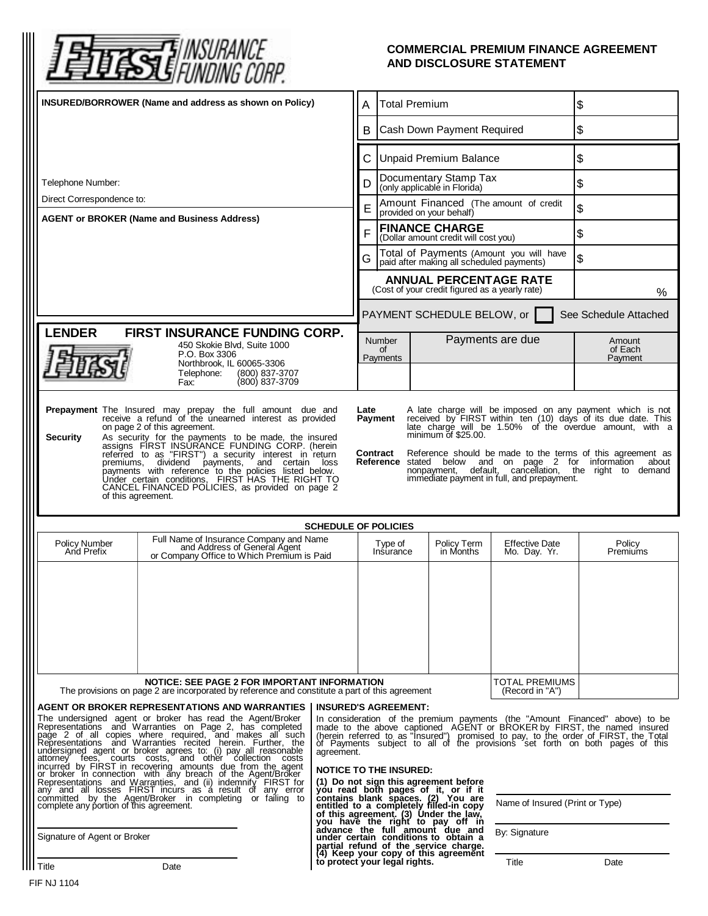

## **COMMERCIAL PREMIUM FINANCE AGREEMENT AND DISCLOSURE STATEMENT**

| INSURED/BORROWER (Name and address as shown on Policy)                                                                                                                                                                                                                                                                                                                                                                                                                                                                                                                                                                                                                                                                                                                                                                                                                                                                                                                                                                                                                      |                                                                                                                                                                                                                                                                                                                                                                                                                                                                                                                                                                                                                                                                                                                                                                                                                                                      |                                                                        | <b>Total Premium</b>                                                                 | \$                                               |                              |
|-----------------------------------------------------------------------------------------------------------------------------------------------------------------------------------------------------------------------------------------------------------------------------------------------------------------------------------------------------------------------------------------------------------------------------------------------------------------------------------------------------------------------------------------------------------------------------------------------------------------------------------------------------------------------------------------------------------------------------------------------------------------------------------------------------------------------------------------------------------------------------------------------------------------------------------------------------------------------------------------------------------------------------------------------------------------------------|------------------------------------------------------------------------------------------------------------------------------------------------------------------------------------------------------------------------------------------------------------------------------------------------------------------------------------------------------------------------------------------------------------------------------------------------------------------------------------------------------------------------------------------------------------------------------------------------------------------------------------------------------------------------------------------------------------------------------------------------------------------------------------------------------------------------------------------------------|------------------------------------------------------------------------|--------------------------------------------------------------------------------------|--------------------------------------------------|------------------------------|
|                                                                                                                                                                                                                                                                                                                                                                                                                                                                                                                                                                                                                                                                                                                                                                                                                                                                                                                                                                                                                                                                             | B                                                                                                                                                                                                                                                                                                                                                                                                                                                                                                                                                                                                                                                                                                                                                                                                                                                    |                                                                        | Cash Down Payment Required                                                           |                                                  | \$                           |
|                                                                                                                                                                                                                                                                                                                                                                                                                                                                                                                                                                                                                                                                                                                                                                                                                                                                                                                                                                                                                                                                             |                                                                                                                                                                                                                                                                                                                                                                                                                                                                                                                                                                                                                                                                                                                                                                                                                                                      |                                                                        | <b>Unpaid Premium Balance</b>                                                        |                                                  | \$                           |
| Telephone Number:                                                                                                                                                                                                                                                                                                                                                                                                                                                                                                                                                                                                                                                                                                                                                                                                                                                                                                                                                                                                                                                           | D                                                                                                                                                                                                                                                                                                                                                                                                                                                                                                                                                                                                                                                                                                                                                                                                                                                    |                                                                        | Documentary Stamp Tax<br>(only applicable in Florida)                                |                                                  | \$                           |
| Direct Correspondence to:<br><b>AGENT or BROKER (Name and Business Address)</b>                                                                                                                                                                                                                                                                                                                                                                                                                                                                                                                                                                                                                                                                                                                                                                                                                                                                                                                                                                                             |                                                                                                                                                                                                                                                                                                                                                                                                                                                                                                                                                                                                                                                                                                                                                                                                                                                      | Amount Financed (The amount of credit<br>Е<br>provided on your behalf) |                                                                                      |                                                  | \$                           |
|                                                                                                                                                                                                                                                                                                                                                                                                                                                                                                                                                                                                                                                                                                                                                                                                                                                                                                                                                                                                                                                                             | F                                                                                                                                                                                                                                                                                                                                                                                                                                                                                                                                                                                                                                                                                                                                                                                                                                                    |                                                                        | <b>FINANCE CHARGE</b><br>(Dollar amount credit will cost you)                        |                                                  | \$                           |
|                                                                                                                                                                                                                                                                                                                                                                                                                                                                                                                                                                                                                                                                                                                                                                                                                                                                                                                                                                                                                                                                             | G                                                                                                                                                                                                                                                                                                                                                                                                                                                                                                                                                                                                                                                                                                                                                                                                                                                    |                                                                        | Total of Payments (Amount you will have<br>paid after making all scheduled payments) |                                                  | \$                           |
|                                                                                                                                                                                                                                                                                                                                                                                                                                                                                                                                                                                                                                                                                                                                                                                                                                                                                                                                                                                                                                                                             |                                                                                                                                                                                                                                                                                                                                                                                                                                                                                                                                                                                                                                                                                                                                                                                                                                                      |                                                                        | <b>ANNUAL PERCENTAGE RATE</b><br>(Cost of your credit figured as a yearly rate)      |                                                  | $\%$                         |
|                                                                                                                                                                                                                                                                                                                                                                                                                                                                                                                                                                                                                                                                                                                                                                                                                                                                                                                                                                                                                                                                             |                                                                                                                                                                                                                                                                                                                                                                                                                                                                                                                                                                                                                                                                                                                                                                                                                                                      |                                                                        | PAYMENT SCHEDULE BELOW, or                                                           |                                                  | See Schedule Attached        |
| <b>LENDER</b><br>FIRST INSURANCE FUNDING CORP.<br>450 Skokie Blvd, Suite 1000<br>P.O. Box 3306<br>Northbrook, IL 60065-3306                                                                                                                                                                                                                                                                                                                                                                                                                                                                                                                                                                                                                                                                                                                                                                                                                                                                                                                                                 |                                                                                                                                                                                                                                                                                                                                                                                                                                                                                                                                                                                                                                                                                                                                                                                                                                                      | <b>Number</b><br>0f<br>Payments                                        |                                                                                      | Payments are due                                 | Amount<br>of Each<br>Payment |
| (800) 837-3707<br>Telephone:<br>(800) 837-3709<br>Fax:                                                                                                                                                                                                                                                                                                                                                                                                                                                                                                                                                                                                                                                                                                                                                                                                                                                                                                                                                                                                                      |                                                                                                                                                                                                                                                                                                                                                                                                                                                                                                                                                                                                                                                                                                                                                                                                                                                      |                                                                        |                                                                                      |                                                  |                              |
| Prepayment The Insured may prepay the full amount due and<br>receive a refund of the unearned interest as provided<br>Late<br>A late charge will be imposed on any payment which is not<br>received by FIRST within ten (10) days of its due date. This<br>Payment<br>late charge will be 1.50% of the overdue amount, with a<br>on page 2 of this agreement.<br>minimum of \$25.00.<br><b>Security</b><br>As security for the payments to be made, the insured<br>assigns FIRST INSURANCE FUNDING CORP. (herein<br>referred to as "FIRST") a security interest in return<br>premiums, dividend payments, and certain loss<br><b>Contract</b> Reference should be made to the terms of this agreement as<br><b>Reference</b> stated below and on page 2 for information about<br>nonpayment, default, cancellation, the right to demand<br>payments with reference to the policies listed below.<br>Under certain conditions, FIRST HAS THE RIGHT TO<br>immediate payment in full, and prepayment.<br>CANCEL FINANCED POLICIES, as provided on page 2<br>of this agreement. |                                                                                                                                                                                                                                                                                                                                                                                                                                                                                                                                                                                                                                                                                                                                                                                                                                                      |                                                                        |                                                                                      |                                                  |                              |
| <b>SCHEDULE OF POLICIES</b>                                                                                                                                                                                                                                                                                                                                                                                                                                                                                                                                                                                                                                                                                                                                                                                                                                                                                                                                                                                                                                                 |                                                                                                                                                                                                                                                                                                                                                                                                                                                                                                                                                                                                                                                                                                                                                                                                                                                      |                                                                        |                                                                                      |                                                  |                              |
| Full Name of Insurance Company and Name<br><b>Policy Number</b><br>and Address of General Agent<br>or Company Office to Which Premium is Paid<br>And Prefix                                                                                                                                                                                                                                                                                                                                                                                                                                                                                                                                                                                                                                                                                                                                                                                                                                                                                                                 |                                                                                                                                                                                                                                                                                                                                                                                                                                                                                                                                                                                                                                                                                                                                                                                                                                                      | Type of<br>Insurance                                                   | Policy Term<br>in Months                                                             | <b>Effective Date</b><br>Mo. Day. Yr.            | Policy<br>Premiums           |
|                                                                                                                                                                                                                                                                                                                                                                                                                                                                                                                                                                                                                                                                                                                                                                                                                                                                                                                                                                                                                                                                             |                                                                                                                                                                                                                                                                                                                                                                                                                                                                                                                                                                                                                                                                                                                                                                                                                                                      |                                                                        |                                                                                      |                                                  |                              |
| NOTICE: SEE PAGE 2 FOR IMPORTANT INFORMATION<br>The provisions on page 2 are incorporated by reference and constitute a part of this agreement                                                                                                                                                                                                                                                                                                                                                                                                                                                                                                                                                                                                                                                                                                                                                                                                                                                                                                                              |                                                                                                                                                                                                                                                                                                                                                                                                                                                                                                                                                                                                                                                                                                                                                                                                                                                      |                                                                        |                                                                                      | <b>TOTAL PREMIUMS</b><br>(Record in "A")         |                              |
| AGENT OR BROKER REPRESENTATIONS AND WARRANTIES<br>The undersigned agent or broker has read the Agent/Broker<br>Representations and Warranties on Page 2, has completed<br>page 2 of all copies where required, and makes all such<br>Representations and Warranties recited herein. Further, the<br>undersigned agent or broker agrees to: (i) pay all reasonable<br>attorney fees, courts costs, and other collection costs<br>incurred by FIRST in recovering amounts due from the agent<br>or broker in connection with any breach of the Agent/Broker<br>Representations and Warranties, and (ii) indemnify FIRST for<br>any and all losses FIRST incurs as a result of any error<br>committed by the Agent/Broker in completing or failing to complete any portion of this agreement.<br>Signature of Agent or Broker                                                                                                                                                                                                                                                  | <b>INSURED'S AGREEMENT:</b><br>In consideration of the premium payments (the "Amount Financed" above) to be made to the above captioned AGENT or BROKER by FIRST, the named insured<br>Therein referred to as "Insured") promised to pay, to the order of FIRST, the Total<br>of Payments subject to all of the provisions set forth on both pages of this<br>agreement.<br><b>NOTICE TO THE INSURED:</b><br>(1) Do not sign this agreement before<br>you read both pages of it, or if it<br>contains blank spaces. (2) You are<br>entitled to a completely filled-in copy<br>of this agreement. (3) Under the law,<br>you have the right to pay off in<br>advance the full amount due and<br>under certain conditions to obtain a<br>partial refund of the service charge.<br>(4) Keep your copy of this agreement<br>to protect your legal rights. |                                                                        |                                                                                      | Name of Insured (Print or Type)<br>By: Signature |                              |
| I Title<br>Date                                                                                                                                                                                                                                                                                                                                                                                                                                                                                                                                                                                                                                                                                                                                                                                                                                                                                                                                                                                                                                                             |                                                                                                                                                                                                                                                                                                                                                                                                                                                                                                                                                                                                                                                                                                                                                                                                                                                      |                                                                        |                                                                                      | Title                                            | Date                         |
| FIF NJ 1104                                                                                                                                                                                                                                                                                                                                                                                                                                                                                                                                                                                                                                                                                                                                                                                                                                                                                                                                                                                                                                                                 |                                                                                                                                                                                                                                                                                                                                                                                                                                                                                                                                                                                                                                                                                                                                                                                                                                                      |                                                                        |                                                                                      |                                                  |                              |